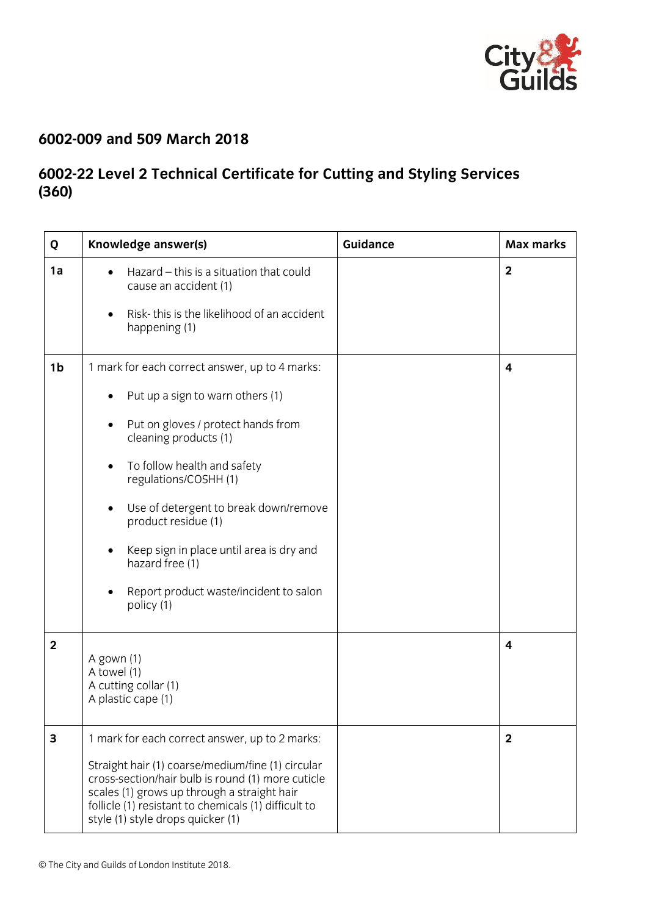

## **6002-009 and 509 March 2018**

## **6002-22 Level 2 Technical Certificate for Cutting and Styling Services (360)**

| Q              | Knowledge answer(s)                                                                                                                                                                                                                                                                                                                                                                                                                                               | <b>Guidance</b> | <b>Max marks</b> |
|----------------|-------------------------------------------------------------------------------------------------------------------------------------------------------------------------------------------------------------------------------------------------------------------------------------------------------------------------------------------------------------------------------------------------------------------------------------------------------------------|-----------------|------------------|
| 1a             | Hazard - this is a situation that could<br>$\bullet$<br>cause an accident (1)<br>Risk-this is the likelihood of an accident<br>$\bullet$<br>happening (1)                                                                                                                                                                                                                                                                                                         |                 | $\overline{2}$   |
| 1 <sub>b</sub> | 1 mark for each correct answer, up to 4 marks:<br>Put up a sign to warn others (1)<br>Put on gloves / protect hands from<br>$\bullet$<br>cleaning products (1)<br>To follow health and safety<br>$\bullet$<br>regulations/COSHH (1)<br>Use of detergent to break down/remove<br>$\bullet$<br>product residue (1)<br>Keep sign in place until area is dry and<br>$\bullet$<br>hazard free (1)<br>Report product waste/incident to salon<br>$\bullet$<br>policy (1) |                 | 4                |
| $\overline{2}$ | A gown (1)<br>A towel (1)<br>A cutting collar (1)<br>A plastic cape (1)                                                                                                                                                                                                                                                                                                                                                                                           |                 | 4                |
| 3              | 1 mark for each correct answer, up to 2 marks:<br>Straight hair (1) coarse/medium/fine (1) circular<br>cross-section/hair bulb is round (1) more cuticle<br>scales (1) grows up through a straight hair<br>follicle (1) resistant to chemicals (1) difficult to<br>style (1) style drops quicker (1)                                                                                                                                                              |                 | $\mathbf{2}$     |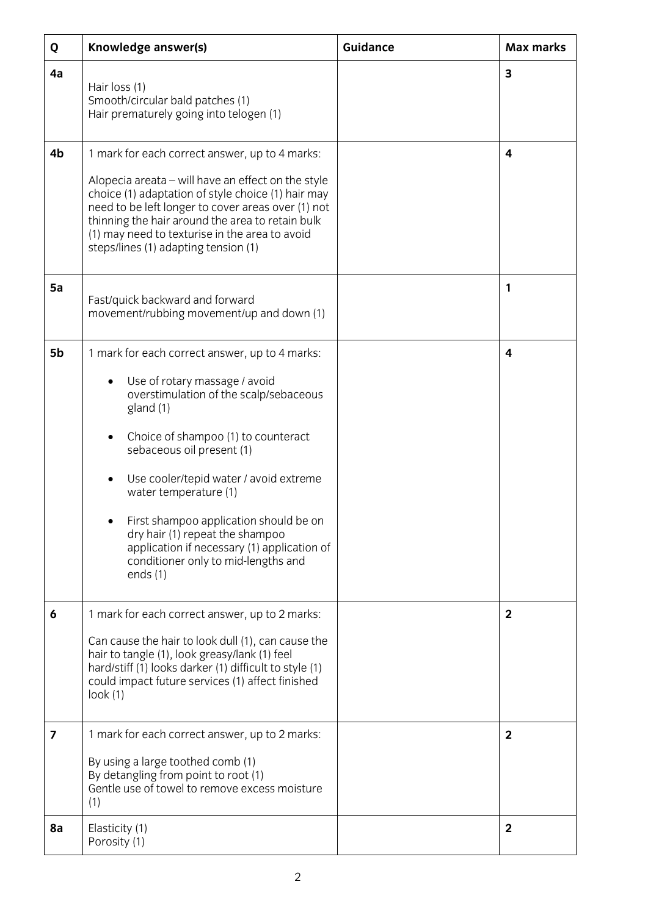| Q  | Knowledge answer(s)                                                                                                                                                                                                                                                                                                                                                                                                                                            | Guidance | <b>Max marks</b> |
|----|----------------------------------------------------------------------------------------------------------------------------------------------------------------------------------------------------------------------------------------------------------------------------------------------------------------------------------------------------------------------------------------------------------------------------------------------------------------|----------|------------------|
| 4a | Hair loss (1)<br>Smooth/circular bald patches (1)<br>Hair prematurely going into telogen (1)                                                                                                                                                                                                                                                                                                                                                                   |          | 3                |
| 4b | 1 mark for each correct answer, up to 4 marks:<br>Alopecia areata – will have an effect on the style<br>choice (1) adaptation of style choice (1) hair may<br>need to be left longer to cover areas over (1) not<br>thinning the hair around the area to retain bulk<br>(1) may need to texturise in the area to avoid<br>steps/lines (1) adapting tension (1)                                                                                                 |          | 4                |
| 5a | Fast/quick backward and forward<br>movement/rubbing movement/up and down (1)                                                                                                                                                                                                                                                                                                                                                                                   |          | 1                |
| 5b | 1 mark for each correct answer, up to 4 marks:<br>Use of rotary massage / avoid<br>overstimulation of the scalp/sebaceous<br>gland (1)<br>Choice of shampoo (1) to counteract<br>sebaceous oil present (1)<br>Use cooler/tepid water / avoid extreme<br>water temperature (1)<br>First shampoo application should be on<br>dry hair (1) repeat the shampoo<br>application if necessary (1) application of<br>conditioner only to mid-lengths and<br>ends $(1)$ |          | 4                |
| 6  | 1 mark for each correct answer, up to 2 marks:<br>Can cause the hair to look dull (1), can cause the<br>hair to tangle (1), look greasy/lank (1) feel<br>hard/stiff (1) looks darker (1) difficult to style (1)<br>could impact future services (1) affect finished<br>look(1)                                                                                                                                                                                 |          | $\mathbf{2}$     |
| 7  | 1 mark for each correct answer, up to 2 marks:<br>By using a large toothed comb (1)<br>By detangling from point to root (1)<br>Gentle use of towel to remove excess moisture<br>(1)                                                                                                                                                                                                                                                                            |          | $\overline{2}$   |
| 8a | Elasticity (1)<br>Porosity (1)                                                                                                                                                                                                                                                                                                                                                                                                                                 |          | $\mathbf{2}$     |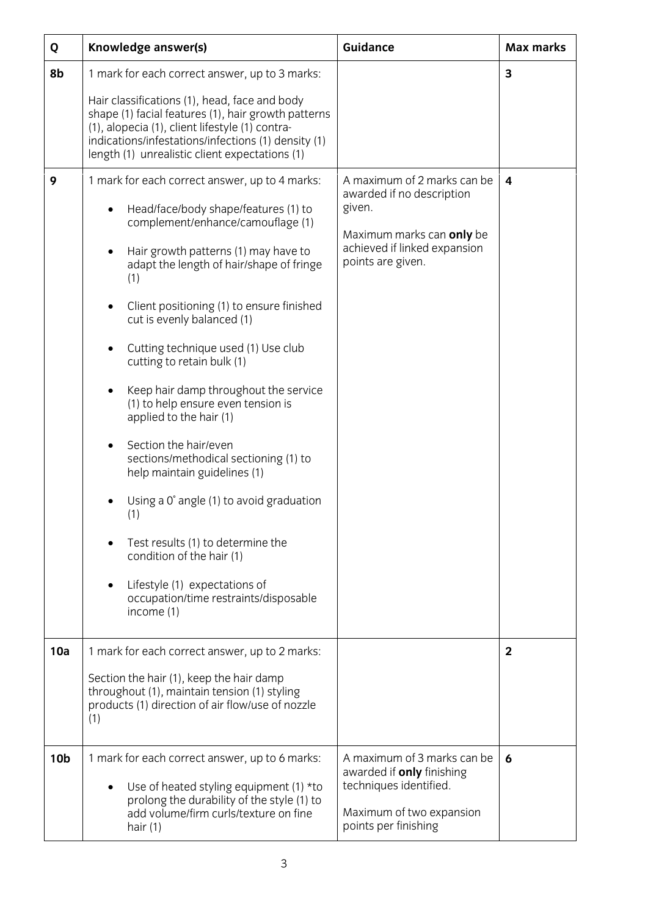| Q               | Knowledge answer(s)                                                                                                                                                                                                                                                                                                                                                                                                                                                                                                                                                                                                                                                                                                                                                                                                                                                   | <b>Guidance</b>                                                                                                                                      | <b>Max marks</b> |
|-----------------|-----------------------------------------------------------------------------------------------------------------------------------------------------------------------------------------------------------------------------------------------------------------------------------------------------------------------------------------------------------------------------------------------------------------------------------------------------------------------------------------------------------------------------------------------------------------------------------------------------------------------------------------------------------------------------------------------------------------------------------------------------------------------------------------------------------------------------------------------------------------------|------------------------------------------------------------------------------------------------------------------------------------------------------|------------------|
| 8b              | 1 mark for each correct answer, up to 3 marks:                                                                                                                                                                                                                                                                                                                                                                                                                                                                                                                                                                                                                                                                                                                                                                                                                        |                                                                                                                                                      | 3                |
|                 | Hair classifications (1), head, face and body<br>shape (1) facial features (1), hair growth patterns<br>(1), alopecia (1), client lifestyle (1) contra-<br>indications/infestations/infections (1) density (1)<br>length (1) unrealistic client expectations (1)                                                                                                                                                                                                                                                                                                                                                                                                                                                                                                                                                                                                      |                                                                                                                                                      |                  |
| 9               | 1 mark for each correct answer, up to 4 marks:<br>Head/face/body shape/features (1) to<br>٠<br>complement/enhance/camouflage (1)<br>Hair growth patterns (1) may have to<br>$\bullet$<br>adapt the length of hair/shape of fringe<br>(1)<br>Client positioning (1) to ensure finished<br>cut is evenly balanced (1)<br>Cutting technique used (1) Use club<br>$\bullet$<br>cutting to retain bulk (1)<br>Keep hair damp throughout the service<br>$\bullet$<br>(1) to help ensure even tension is<br>applied to the hair (1)<br>Section the hair/even<br>$\bullet$<br>sections/methodical sectioning (1) to<br>help maintain guidelines (1)<br>Using a 0° angle (1) to avoid graduation<br>(1)<br>Test results (1) to determine the<br>condition of the hair (1)<br>Lifestyle (1) expectations of<br>$\bullet$<br>occupation/time restraints/disposable<br>income (1) | A maximum of 2 marks can be<br>awarded if no description<br>given.<br>Maximum marks can only be<br>achieved if linked expansion<br>points are given. | 4                |
| 10a             | 1 mark for each correct answer, up to 2 marks:                                                                                                                                                                                                                                                                                                                                                                                                                                                                                                                                                                                                                                                                                                                                                                                                                        |                                                                                                                                                      | $\overline{2}$   |
|                 | Section the hair (1), keep the hair damp<br>throughout (1), maintain tension (1) styling<br>products (1) direction of air flow/use of nozzle<br>(1)                                                                                                                                                                                                                                                                                                                                                                                                                                                                                                                                                                                                                                                                                                                   |                                                                                                                                                      |                  |
| 10 <sub>b</sub> | 1 mark for each correct answer, up to 6 marks:<br>Use of heated styling equipment (1) *to<br>prolong the durability of the style (1) to<br>add volume/firm curls/texture on fine<br>hair $(1)$                                                                                                                                                                                                                                                                                                                                                                                                                                                                                                                                                                                                                                                                        | A maximum of 3 marks can be<br>awarded if <b>only</b> finishing<br>techniques identified.<br>Maximum of two expansion<br>points per finishing        | 6                |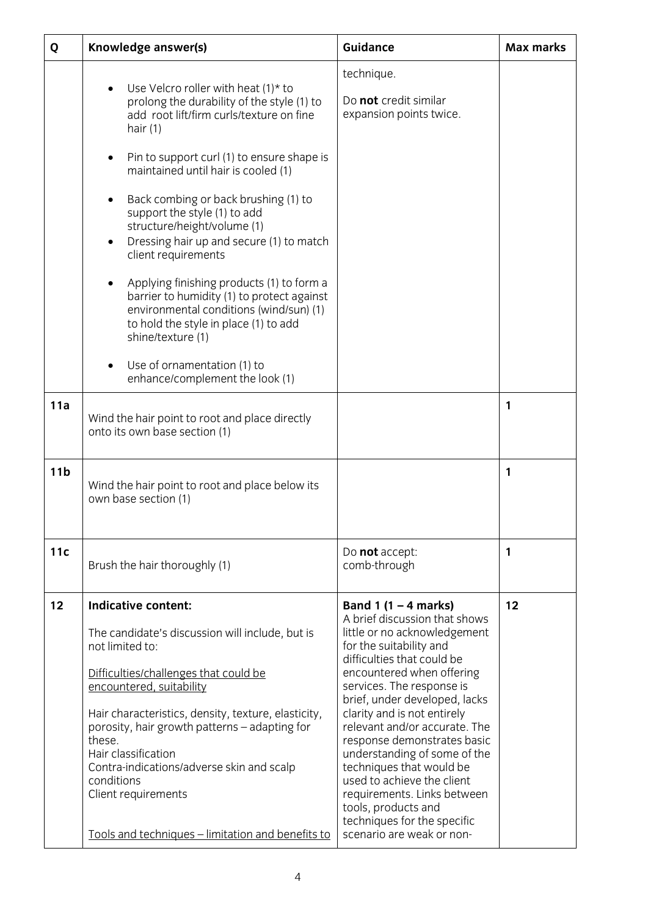| Q               | Knowledge answer(s)                                                                                                                                                                                                                                                                                                                                                                                                                                                                                                                                                                                                                                                                                                                          | <b>Guidance</b>                                                                                                                                                                                                                                                                                                                                                                                                                                                                                                                                        | <b>Max marks</b> |
|-----------------|----------------------------------------------------------------------------------------------------------------------------------------------------------------------------------------------------------------------------------------------------------------------------------------------------------------------------------------------------------------------------------------------------------------------------------------------------------------------------------------------------------------------------------------------------------------------------------------------------------------------------------------------------------------------------------------------------------------------------------------------|--------------------------------------------------------------------------------------------------------------------------------------------------------------------------------------------------------------------------------------------------------------------------------------------------------------------------------------------------------------------------------------------------------------------------------------------------------------------------------------------------------------------------------------------------------|------------------|
|                 | Use Velcro roller with heat $(1)^*$ to<br>prolong the durability of the style (1) to<br>add root lift/firm curls/texture on fine<br>hair $(1)$<br>Pin to support curl (1) to ensure shape is<br>٠<br>maintained until hair is cooled (1)<br>Back combing or back brushing (1) to<br>$\bullet$<br>support the style (1) to add<br>structure/height/volume (1)<br>Dressing hair up and secure (1) to match<br>$\bullet$<br>client requirements<br>Applying finishing products (1) to form a<br>$\bullet$<br>barrier to humidity (1) to protect against<br>environmental conditions (wind/sun) (1)<br>to hold the style in place (1) to add<br>shine/texture (1)<br>Use of ornamentation (1) to<br>$\bullet$<br>enhance/complement the look (1) | technique.<br>Do not credit similar<br>expansion points twice.                                                                                                                                                                                                                                                                                                                                                                                                                                                                                         |                  |
| 11a             | Wind the hair point to root and place directly<br>onto its own base section (1)                                                                                                                                                                                                                                                                                                                                                                                                                                                                                                                                                                                                                                                              |                                                                                                                                                                                                                                                                                                                                                                                                                                                                                                                                                        | 1                |
| 11 <sub>b</sub> | Wind the hair point to root and place below its<br>own base section (1)                                                                                                                                                                                                                                                                                                                                                                                                                                                                                                                                                                                                                                                                      |                                                                                                                                                                                                                                                                                                                                                                                                                                                                                                                                                        | 1                |
| 11c             | Brush the hair thoroughly (1)                                                                                                                                                                                                                                                                                                                                                                                                                                                                                                                                                                                                                                                                                                                | Do not accept:<br>comb-through                                                                                                                                                                                                                                                                                                                                                                                                                                                                                                                         | 1                |
| 12              | <b>Indicative content:</b><br>The candidate's discussion will include, but is<br>not limited to:<br>Difficulties/challenges that could be<br>encountered, suitability<br>Hair characteristics, density, texture, elasticity,<br>porosity, hair growth patterns - adapting for<br>these.<br>Hair classification<br>Contra-indications/adverse skin and scalp<br>conditions<br>Client requirements<br>Tools and techniques - limitation and benefits to                                                                                                                                                                                                                                                                                        | Band 1 $(1 - 4$ marks)<br>A brief discussion that shows<br>little or no acknowledgement<br>for the suitability and<br>difficulties that could be<br>encountered when offering<br>services. The response is<br>brief, under developed, lacks<br>clarity and is not entirely<br>relevant and/or accurate. The<br>response demonstrates basic<br>understanding of some of the<br>techniques that would be<br>used to achieve the client<br>requirements. Links between<br>tools, products and<br>techniques for the specific<br>scenario are weak or non- | 12               |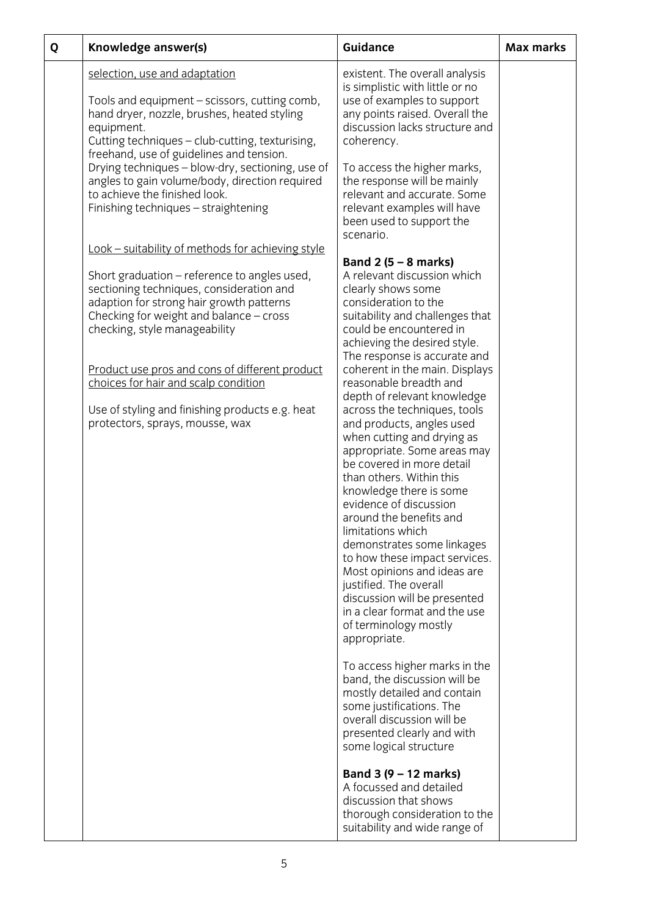| Q | Knowledge answer(s)                                                                                                                                                                                                                                                                                                                                                                                                                                   | <b>Guidance</b>                                                                                                                                                                                                                                                                                                                                                                                                                                                                                                                                                                                                                                                                                                                                                                                                                                                                                                                                                                                                                                                                                                                                                                                                        | <b>Max marks</b> |
|---|-------------------------------------------------------------------------------------------------------------------------------------------------------------------------------------------------------------------------------------------------------------------------------------------------------------------------------------------------------------------------------------------------------------------------------------------------------|------------------------------------------------------------------------------------------------------------------------------------------------------------------------------------------------------------------------------------------------------------------------------------------------------------------------------------------------------------------------------------------------------------------------------------------------------------------------------------------------------------------------------------------------------------------------------------------------------------------------------------------------------------------------------------------------------------------------------------------------------------------------------------------------------------------------------------------------------------------------------------------------------------------------------------------------------------------------------------------------------------------------------------------------------------------------------------------------------------------------------------------------------------------------------------------------------------------------|------------------|
|   | selection, use and adaptation<br>Tools and equipment – scissors, cutting comb,<br>hand dryer, nozzle, brushes, heated styling<br>equipment.<br>Cutting techniques - club-cutting, texturising,<br>freehand, use of guidelines and tension.<br>Drying techniques - blow-dry, sectioning, use of<br>angles to gain volume/body, direction required<br>to achieve the finished look.<br>Finishing techniques - straightening                             | existent. The overall analysis<br>is simplistic with little or no<br>use of examples to support<br>any points raised. Overall the<br>discussion lacks structure and<br>coherency.<br>To access the higher marks,<br>the response will be mainly<br>relevant and accurate. Some<br>relevant examples will have<br>been used to support the<br>scenario.                                                                                                                                                                                                                                                                                                                                                                                                                                                                                                                                                                                                                                                                                                                                                                                                                                                                 |                  |
|   | Look - suitability of methods for achieving style<br>Short graduation – reference to angles used,<br>sectioning techniques, consideration and<br>adaption for strong hair growth patterns<br>Checking for weight and balance - cross<br>checking, style manageability<br>Product use pros and cons of different product<br>choices for hair and scalp condition<br>Use of styling and finishing products e.g. heat<br>protectors, sprays, mousse, wax | Band $2(5 - 8$ marks)<br>A relevant discussion which<br>clearly shows some<br>consideration to the<br>suitability and challenges that<br>could be encountered in<br>achieving the desired style.<br>The response is accurate and<br>coherent in the main. Displays<br>reasonable breadth and<br>depth of relevant knowledge<br>across the techniques, tools<br>and products, angles used<br>when cutting and drying as<br>appropriate. Some areas may<br>be covered in more detail<br>than others. Within this<br>knowledge there is some<br>evidence of discussion<br>around the benefits and<br>limitations which<br>demonstrates some linkages<br>to how these impact services.<br>Most opinions and ideas are<br>justified. The overall<br>discussion will be presented<br>in a clear format and the use<br>of terminology mostly<br>appropriate.<br>To access higher marks in the<br>band, the discussion will be<br>mostly detailed and contain<br>some justifications. The<br>overall discussion will be<br>presented clearly and with<br>some logical structure<br>Band 3 (9 - 12 marks)<br>A focussed and detailed<br>discussion that shows<br>thorough consideration to the<br>suitability and wide range of |                  |